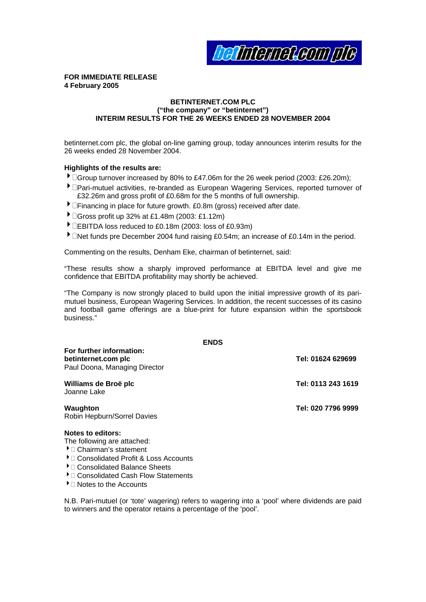**befinierneleam ple** 

**FOR IMMEDIATE RELEASE 4 February 2005** 

#### **BETINTERNET.COM PLC ("the company" or "betinternet") INTERIM RESULTS FOR THE 26 WEEKS ENDED 28 NOVEMBER 2004**

betinternet.com plc, the global on-line gaming group, today announces interim results for the 26 weeks ended 28 November 2004.

#### **Highlights of the results are:**

- 4Group turnover increased by 80% to £47.06m for the 26 week period (2003: £26.20m);
- 4Pari-mutuel activities, re-branded as European Wagering Services, reported turnover of £32.26m and gross profit of £0.68m for the 5 months of full ownership.
- **IFinancing in place for future growth. £0.8m (gross) received after date.**
- 4Gross profit up 32% at £1.48m (2003: £1.12m)
- $\blacktriangleright$   $\Box$ EBITDA loss reduced to £0.18m (2003: loss of £0.93m)
- $\blacktriangleright$   $\Box$ Net funds pre December 2004 fund raising £0.54m; an increase of £0.14m in the period.

Commenting on the results, Denham Eke, chairman of betinternet, said:

"These results show a sharply improved performance at EBITDA level and give me confidence that EBITDA profitability may shortly be achieved.

and football game offerings are a blue-print for future expansion within the sportsbook business." "The Company is now strongly placed to build upon the initial impressive growth of its parimutuel business, European Wagering Services. In addition, the recent successes of its casino

**ENDS** 

| For further information:<br>betinternet.com plc<br>Paul Doona, Managing Director                               | Tel: 01624 629699  |
|----------------------------------------------------------------------------------------------------------------|--------------------|
| Williams de Broë plc<br>Joanne Lake                                                                            | Tel: 0113 243 1619 |
| Waughton<br>Robin Hepburn/Sorrel Davies                                                                        | Tel: 020 7796 9999 |
| <b>Notes to editors:</b><br>The following are attached:<br>$\blacktriangleright$ $\sqcap$ Choirman's statement |                    |

- $\blacktriangleright$   $\Box$  Chairman's statement
- $\blacktriangleright$   $\Box$  Consolidated Profit & Loss Accounts
- ▶ Consolidated Balance Sheets
- $\blacktriangleright$   $\Box$  Consolidated Cash Flow Statements
- $\blacktriangleright$   $\Box$  Notes to the Accounts

N.B. Pari-mutuel (or 'tote' wagering) refers to wagering into a 'pool' where dividends are paid to winners and the operator retains a percentage of the 'pool'.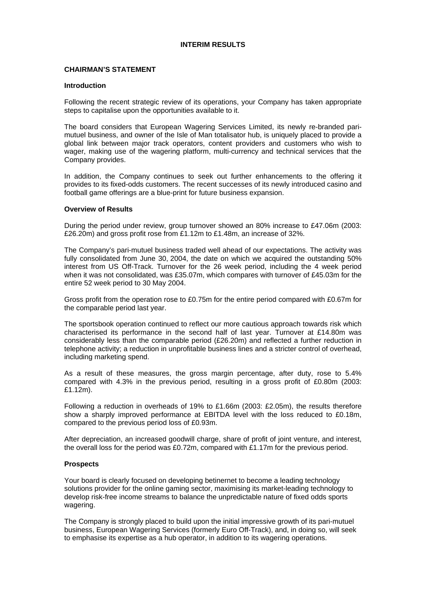#### **INTERIM RESULTS**

### **CHAIRMAN'S STATEMENT**

#### **Introduction**

Following the recent strategic review of its operations, your Company has taken appropriate steps to capitalise upon the opportunities available to it.

wager, making use of the wagering platform, multi-currency and technical services that the Company provides. The board considers that European Wagering Services Limited, its newly re-branded parimutuel business, and owner of the Isle of Man totalisator hub, is uniquely placed to provide a global link between major track operators, content providers and customers who wish to

provides to its fixed-odds customers. The recent successes of its newly introduced casino and football game offerings are a blue-print for future business expansion. In addition, the Company continues to seek out further enhancements to the offering it

#### **verview of Results O**

During the period under review, group turnover showed an 80% increase to £47.06m (2003: £26.20m) and gross profit rose from £1.12m to £1.48m, an increase of 32%.

when it was not consolidated, was £35.07m, which compares with turnover of £45.03m for the entire 52 week period to 30 May 2004. The Company's pari-mutuel business traded well ahead of our expectations. The activity was fully consolidated from June 30, 2004, the date on which we acquired the outstanding 50% interest from US Off-Track. Turnover for the 26 week period, including the 4 week period

Gross profit from the operation rose to  $£0.75m$  for the entire period compared with  $£0.67m$  for the comparable period last year.

telephone activity; a reduction in unprofitable business lines and a stricter control of overhead, including marketing spend. The sportsbook operation continued to reflect our more cautious approach towards risk which characterised its performance in the second half of last year. Turnover at £14.80m was considerably less than the comparable period (£26.20m) and reflected a further reduction in

compared with 4.3% in the previous period, resulting in a gross profit of  $£0.80m$  (2003: £1.12m). As a result of these measures, the gross margin percentage, after duty, rose to 5.4%

show a sharply improved performance at EBITDA level with the loss reduced to £0.18m, compared to the previous period loss of £0.93m. Following a reduction in overheads of 19% to £1.66m (2003: £2.05m), the results therefore

After depreciation, an increased goodwill charge, share of profit of joint venture, and interest, the overall loss for the period was  $£0.72m$ , compared with  $£1.17m$  for the previous period.

#### **rospects P**

develop risk-free income streams to balance the unpredictable nature of fixed odds sports wagering. Your board is clearly focused on developing betinernet to become a leading technology solutions provider for the online gaming sector, maximising its market-leading technology to

business, European Wagering Services (formerly Euro Off-Track), and, in doing so, will seek to emphasise its expertise as a hub operator, in addition to its wagering operations. The Company is strongly placed to build upon the initial impressive growth of its pari-mutuel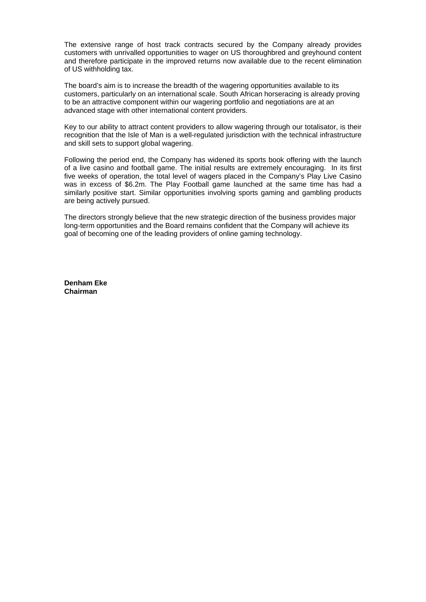The extensive range of host track contracts secured by the Company already provides customers with unrivalled opportunities to wager on US thoroughbred and greyhound content and therefore participate in the improved returns now available due to the recent elimination of US withholding tax.

customers, particularly on an international scale. South African horseracing is already proving to be an attractive component within our wagering portfolio and negotiations are at an The board's aim is to increase the breadth of the wagering opportunities available to its advanced stage with other international content providers.

Key to our ability to attract content providers to allow wagering through our totalisator, is their recognition that the Isle of Man is a well-regulated jurisdiction with the technical infrastructure and skill sets to support global wagering.

was in excess of \$6.2m. The Play Football game launched at the same time has had a similarly positive start. Similar opportunities involving sports gaming and gambling products Following the period end, the Company has widened its sports book offering with the launch of a live casino and football game. The initial results are extremely encouraging. In its first five weeks of operation, the total level of wagers placed in the Company's Play Live Casino are being actively pursued.

The directors strongly believe that the new strategic direction of the business provides major long-term opportunities and the Board remains confident that the Company will achieve its goal of becoming one of the leading providers of online gaming technology.

**Denham Eke hairman C**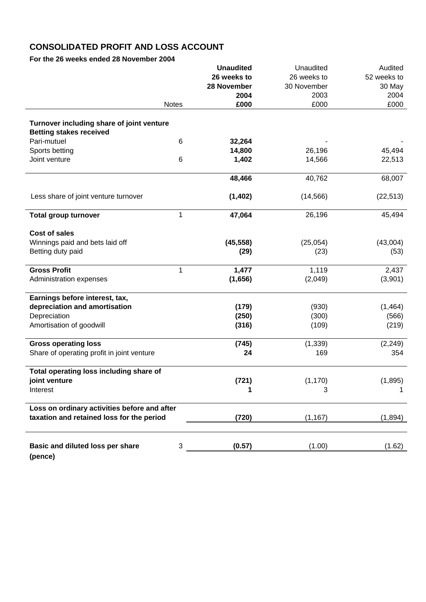## **CONSOLIDATED PROFIT AND LOSS ACCOUNT**

For the 26 weeks ended 28 November 2004

|                                                                             |              | <b>Unaudited</b> | Unaudited   | Audited     |
|-----------------------------------------------------------------------------|--------------|------------------|-------------|-------------|
|                                                                             |              | 26 weeks to      | 26 weeks to | 52 weeks to |
|                                                                             |              | 28 November      | 30 November | 30 May      |
|                                                                             |              | 2004             | 2003        | 2004        |
|                                                                             | <b>Notes</b> | £000             | £000        | £000        |
|                                                                             |              |                  |             |             |
| Turnover including share of joint venture<br><b>Betting stakes received</b> |              |                  |             |             |
| Pari-mutuel                                                                 | 6            | 32,264           |             |             |
| Sports betting                                                              |              | 14,800           | 26,196      | 45,494      |
| Joint venture                                                               | 6            | 1,402            | 14,566      | 22,513      |
|                                                                             |              | 48,466           | 40,762      | 68,007      |
|                                                                             |              |                  |             |             |
| Less share of joint venture turnover                                        |              | (1, 402)         | (14, 566)   | (22, 513)   |
| <b>Total group turnover</b>                                                 | 1            | 47,064           | 26,196      | 45,494      |
| <b>Cost of sales</b>                                                        |              |                  |             |             |
| Winnings paid and bets laid off                                             |              | (45, 558)        | (25, 054)   | (43,004)    |
| Betting duty paid                                                           |              | (29)             | (23)        | (53)        |
| <b>Gross Profit</b>                                                         | 1            | 1,477            | 1,119       | 2,437       |
| Administration expenses                                                     |              | (1,656)          | (2,049)     | (3,901)     |
| Earnings before interest, tax,                                              |              |                  |             |             |
| depreciation and amortisation                                               |              | (179)            | (930)       | (1, 464)    |
| Depreciation                                                                |              | (250)            | (300)       | (566)       |
| Amortisation of goodwill                                                    |              | (316)            | (109)       | (219)       |
| <b>Gross operating loss</b>                                                 |              | (745)            | (1, 339)    | (2, 249)    |
| Share of operating profit in joint venture                                  |              | 24               | 169         | 354         |
| Total operating loss including share of                                     |              |                  |             |             |
| joint venture                                                               |              | (721)            | (1, 170)    | (1, 895)    |
| Interest                                                                    |              | 1                | 3           | 1           |
| Loss on ordinary activities before and after                                |              |                  |             |             |
| taxation and retained loss for the period                                   |              | (720)            | (1, 167)    | (1,894)     |
|                                                                             |              |                  |             |             |
| Basic and diluted loss per share<br>(pence)                                 | 3            | (0.57)           | (1.00)      | (1.62)      |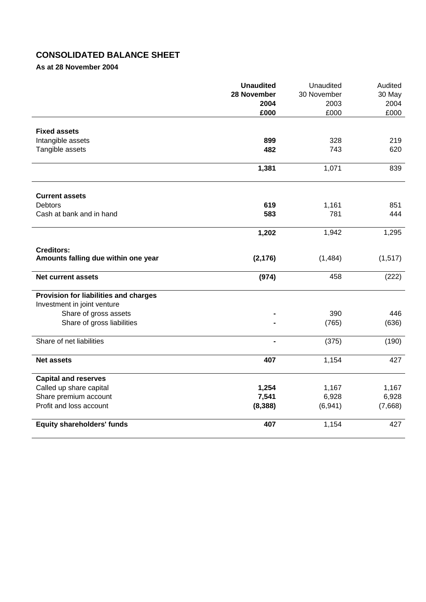# **CONSOLIDATED BALANCE SHEET**

**As at 28 November 2004** 

|                                       | <b>Unaudited</b> | Unaudited   | Audited  |
|---------------------------------------|------------------|-------------|----------|
|                                       | 28 November      | 30 November | 30 May   |
|                                       | 2004             | 2003        | 2004     |
|                                       | £000             | £000        | £000     |
| <b>Fixed assets</b>                   |                  |             |          |
| Intangible assets                     | 899              | 328         | 219      |
| Tangible assets                       | 482              | 743         | 620      |
|                                       |                  |             |          |
|                                       | 1,381            | 1,071       | 839      |
| <b>Current assets</b>                 |                  |             |          |
| <b>Debtors</b>                        | 619              | 1,161       | 851      |
| Cash at bank and in hand              | 583              | 781         | 444      |
|                                       | 1,202            | 1,942       | 1,295    |
| <b>Creditors:</b>                     |                  |             |          |
| Amounts falling due within one year   | (2, 176)         | (1, 484)    | (1, 517) |
| <b>Net current assets</b>             | (974)            | 458         | (222)    |
| Provision for liabilities and charges |                  |             |          |
| Investment in joint venture           |                  |             |          |
| Share of gross assets                 |                  | 390         | 446      |
| Share of gross liabilities            |                  | (765)       | (636)    |
| Share of net liabilities              |                  | (375)       | (190)    |
| <b>Net assets</b>                     | 407              | 1,154       | 427      |
| <b>Capital and reserves</b>           |                  |             |          |
| Called up share capital               | 1,254            | 1,167       | 1,167    |
| Share premium account                 | 7,541            | 6,928       | 6,928    |
| Profit and loss account               | (8, 388)         | (6,941)     | (7,668)  |
| <b>Equity shareholders' funds</b>     | 407              | 1,154       | 427      |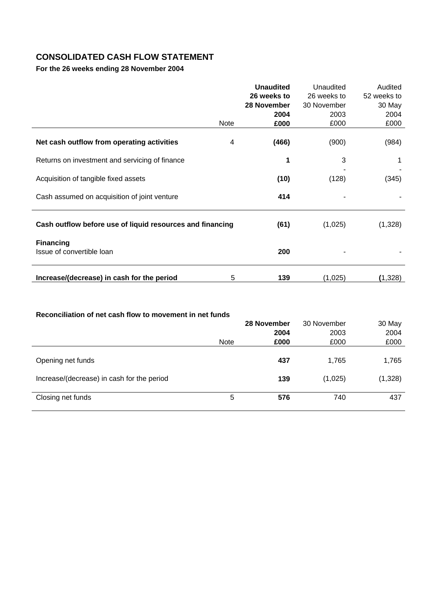# **CONSOLIDATED CASH FLOW STATEMENT**

**For the 26 weeks ending 28 November 2004** 

|                                                           |      | <b>Unaudited</b><br>26 weeks to | Unaudited<br>26 weeks to | Audited<br>52 weeks to |
|-----------------------------------------------------------|------|---------------------------------|--------------------------|------------------------|
|                                                           |      | 28 November<br>2004             | 30 November<br>2003      | 30 May<br>2004         |
|                                                           | Note | £000                            | £000                     | £000                   |
| Net cash outflow from operating activities                | 4    | (466)                           | (900)                    | (984)                  |
| Returns on investment and servicing of finance            |      | 1                               | 3                        | 1                      |
| Acquisition of tangible fixed assets                      |      | (10)                            | (128)                    | (345)                  |
| Cash assumed on acquisition of joint venture              |      | 414                             |                          |                        |
| Cash outflow before use of liquid resources and financing |      | (61)                            | (1,025)                  | (1,328)                |
| <b>Financing</b><br>Issue of convertible loan             |      | 200                             |                          |                        |
| Increase/(decrease) in cash for the period                | 5    | 139                             | (1,025)                  | (1,328)                |

| Reconciliation of net cash flow to movement in net funds |             |             |         |
|----------------------------------------------------------|-------------|-------------|---------|
|                                                          | 28 November | 30 November | 30 May  |
|                                                          | 2004        | 2003        | 2004    |
| <b>Note</b>                                              | £000        | £000        | £000    |
| Opening net funds                                        | 437         | 1.765       | 1,765   |
|                                                          |             |             |         |
| Increase/(decrease) in cash for the period               | 139         | (1,025)     | (1,328) |
| 5<br>Closing net funds                                   | 576         | 740         | 437     |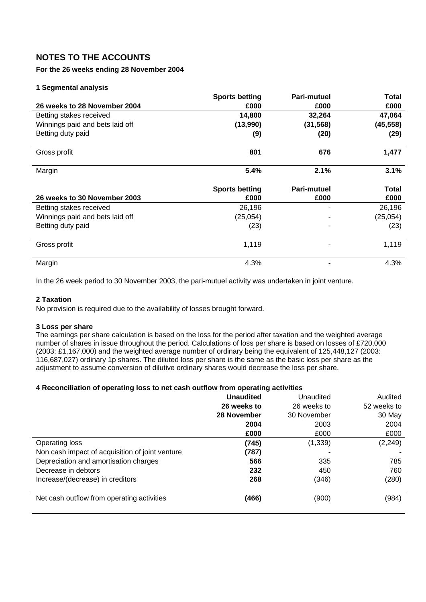## **NOTES TO THE ACCOUNTS**

## **For the 26 weeks ending 28 November 2004**

## **1 Segmental analysis**

|                                 | <b>Sports betting</b> | <b>Pari-mutuel</b> | <b>Total</b> |
|---------------------------------|-----------------------|--------------------|--------------|
| 26 weeks to 28 November 2004    | £000                  | £000               | £000         |
| Betting stakes received         | 14,800                | 32,264             | 47,064       |
| Winnings paid and bets laid off | (13,990)              | (31, 568)          | (45, 558)    |
| Betting duty paid               | (9)                   | (20)               | (29)         |
| Gross profit                    | 801                   | 676                | 1,477        |
| Margin                          | 5.4%                  | 2.1%               | 3.1%         |
|                                 |                       |                    |              |
|                                 | <b>Sports betting</b> | <b>Pari-mutuel</b> | <b>Total</b> |
| 26 weeks to 30 November 2003    | £000                  | £000               | £000         |
| Betting stakes received         | 26,196                |                    | 26,196       |
| Winnings paid and bets laid off | (25, 054)             |                    | (25,054)     |
| Betting duty paid               | (23)                  |                    | (23)         |
| Gross profit                    | 1,119                 |                    | 1,119        |

In the 26 week period to 30 November 2003, the pari-mutuel activity was undertaken in joint venture.

### **2 Taxation**

No provision is required due to the availability of losses brought forward.

#### **3 Loss per share**

The earnings per share calculation is based on the loss for the period after taxation and the weighted average number of shares in issue throughout the period. Calculations of loss per share is based on losses of £720,000 (2003: £1,167,000) and the weighted average number of ordinary being the equivalent of 125,448,127 (2003: 116,687,027) ordinary 1p shares. The diluted loss per share is the same as the basic loss per share as the adjustment to assume conversion of dilutive ordinary shares would decrease the loss per share.

## **4 Reconciliation of operating loss to net cash outflow from operating activities**

|                                                 | <b>Unaudited</b> | Unaudited   | Audited     |
|-------------------------------------------------|------------------|-------------|-------------|
|                                                 | 26 weeks to      | 26 weeks to | 52 weeks to |
|                                                 | 28 November      | 30 November | 30 May      |
|                                                 | 2004             | 2003        | 2004        |
|                                                 | £000             | £000        | £000        |
| Operating loss                                  | (745)            | (1, 339)    | (2, 249)    |
| Non cash impact of acquisition of joint venture | (787)            |             |             |
| Depreciation and amortisation charges           | 566              | 335         | 785         |
| Decrease in debtors                             | 232              | 450         | 760         |
| Increase/(decrease) in creditors                | 268              | (346)       | (280)       |
| Net cash outflow from operating activities      | (466)            | (900)       | (984)       |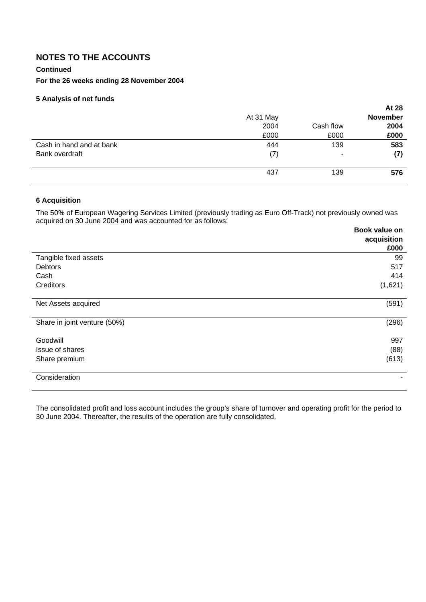## **NOTES TO THE ACCOUNTS**

## **Continued**

## **For the 26 weeks ending 28 November 2004**

## **5 Analysis of net funds**

|                          |           |           | At 28           |
|--------------------------|-----------|-----------|-----------------|
|                          | At 31 May |           | <b>November</b> |
|                          | 2004      | Cash flow | 2004            |
|                          | £000      | £000      | £000            |
| Cash in hand and at bank | 444       | 139       | 583             |
| Bank overdraft           | (7)       | ۰         | (7)             |
|                          | 437       | 139       | 576             |

## **6 Acquisition**

The 50% of European Wagering Services Limited (previously trading as Euro Off-Track) not previously owned was acquired on 30 June 2004 and was accounted for as follows:

|                              | Book value on |
|------------------------------|---------------|
|                              | acquisition   |
|                              | £000          |
| Tangible fixed assets        | 99            |
| <b>Debtors</b>               | 517           |
| Cash                         | 414           |
| Creditors                    | (1,621)       |
| Net Assets acquired          | (591)         |
| Share in joint venture (50%) | (296)         |
| Goodwill                     | 997           |
| Issue of shares              | (88)          |
| Share premium                | (613)         |
| Consideration                |               |

The consolidated profit and loss account includes the group's share of turnover and operating profit for the period to 30 June 2004. Thereafter, the results of the operation are fully consolidated.